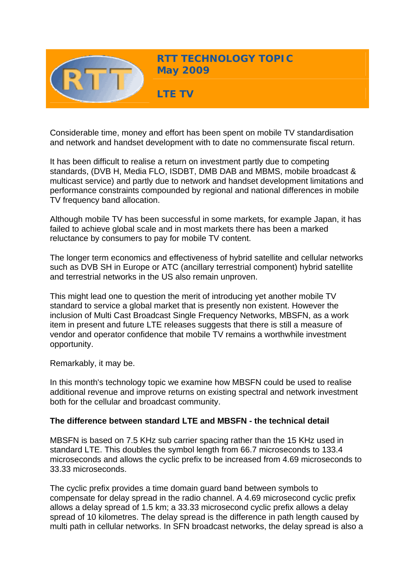

Considerable time, money and effort has been spent on mobile TV standardisation and network and handset development with to date no commensurate fiscal return.

It has been difficult to realise a return on investment partly due to competing standards, (DVB H, Media FLO, ISDBT, DMB DAB and MBMS, mobile broadcast & multicast service) and partly due to network and handset development limitations and performance constraints compounded by regional and national differences in mobile TV frequency band allocation.

Although mobile TV has been successful in some markets, for example Japan, it has failed to achieve global scale and in most markets there has been a marked reluctance by consumers to pay for mobile TV content.

The longer term economics and effectiveness of hybrid satellite and cellular networks such as DVB SH in Europe or ATC (ancillary terrestrial component) hybrid satellite and terrestrial networks in the US also remain unproven.

This might lead one to question the merit of introducing yet another mobile TV standard to service a global market that is presently non existent. However the inclusion of Multi Cast Broadcast Single Frequency Networks, MBSFN, as a work item in present and future LTE releases suggests that there is still a measure of vendor and operator confidence that mobile TV remains a worthwhile investment opportunity.

Remarkably, it may be.

In this month's technology topic we examine how MBSFN could be used to realise additional revenue and improve returns on existing spectral and network investment both for the cellular and broadcast community.

# **The difference between standard LTE and MBSFN - the technical detail**

MBSFN is based on 7.5 KHz sub carrier spacing rather than the 15 KHz used in standard LTE. This doubles the symbol length from 66.7 microseconds to 133.4 microseconds and allows the cyclic prefix to be increased from 4.69 microseconds to 33.33 microseconds.

The cyclic prefix provides a time domain guard band between symbols to compensate for delay spread in the radio channel. A 4.69 microsecond cyclic prefix allows a delay spread of 1.5 km; a 33.33 microsecond cyclic prefix allows a delay spread of 10 kilometres. The delay spread is the difference in path length caused by multi path in cellular networks. In SFN broadcast networks, the delay spread is also a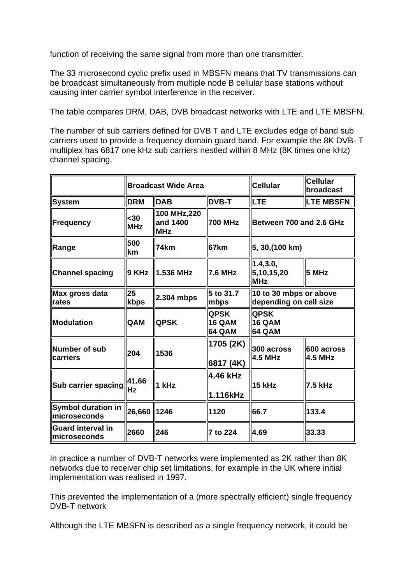function of receiving the same signal from more than one transmitter.

The 33 microsecond cyclic prefix used in MBSFN means that TV transmissions can be broadcast simultaneously from multiple node B cellular base stations without causing inter carrier symbol interference in the receiver.

The table compares DRM, DAB, DVB broadcast networks with LTE and LTE MBSFN.

The number of sub carriers defined for DVB T and LTE excludes edge of band sub carriers used to provide a frequency domain guard band. For example the 8K DVB- T multiplex has 6817 one kHz sub carriers nestled within 8 MHz (8K times one kHz) channel spacing.

|                                                  | <b>Broadcast Wide Area</b> |                                       |                                               | <b>Cellular</b>                                  | <b>Cellular</b><br>broadcast |
|--------------------------------------------------|----------------------------|---------------------------------------|-----------------------------------------------|--------------------------------------------------|------------------------------|
| System                                           | <b>DRM</b>                 | <b>DAB</b>                            | <b>DVB-T</b>                                  | <b>LTE</b>                                       | <b>LTE MBSFN</b>             |
| Frequency                                        | <30<br><b>MHz</b>          | 100 MHz,220<br>and 1400<br><b>MHz</b> | <b>700 MHz</b>                                | Between 700 and 2.6 GHz                          |                              |
| ∥Range                                           | 500<br>km                  | 74km                                  | 67km                                          | 5, 30, (100 km)                                  |                              |
| <b>Channel spacing</b>                           | 9 KHz                      | 1.536 MHz                             | <b>7.6 MHz</b>                                | 1.4,3.0,<br>5,10,15,20<br><b>MHz</b>             | 5 MHz                        |
| Max gross data<br>rates                          | 25<br>kbps                 | 2.304 mbps                            | 5 to 31.7<br>mbps                             | 10 to 30 mbps or above<br>depending on cell size |                              |
| <b>Modulation</b>                                | <b>QAM</b>                 | <b>QPSK</b>                           | <b>QPSK</b><br><b>16 QAM</b><br><b>64 QAM</b> | <b>QPSK</b><br><b>16 QAM</b><br>64 QAM           |                              |
| Number of sub<br>carriers                        | 204                        | 1536                                  | 1705 (2K)<br>6817 (4K)                        | 300 across<br><b>4.5 MHz</b>                     | 600 across<br><b>4.5 MHz</b> |
| Sub carrier spacing                              | 41.66<br><b>Hz</b>         | 1 kHz                                 | 4.46 kHz<br>1.116kHz                          | 15 kHz                                           | 7.5 kHz                      |
| <b>Symbol duration in</b><br>microseconds        | 26,660                     | 1246                                  | 1120                                          | 66.7                                             | 133.4                        |
| <b>Guard interval in</b><br><b>Imicroseconds</b> | 2660                       | 246                                   | 7 to 224                                      | 4.69                                             | 33.33                        |

In practice a number of DVB-T networks were implemented as 2K rather than 8K networks due to receiver chip set limitations, for example in the UK where initial implementation was realised in 1997.

This prevented the implementation of a (more spectrally efficient) single frequency DVB-T network

Although the LTE MBSFN is described as a single frequency network, it could be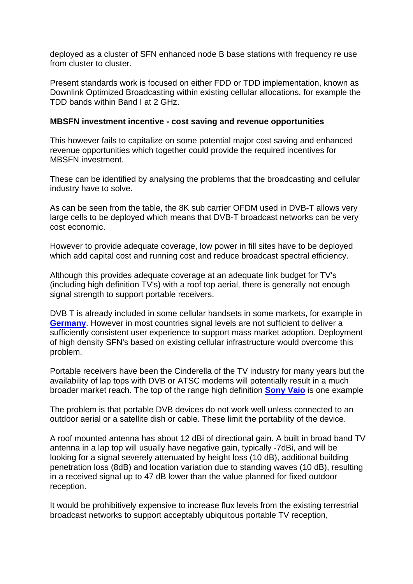deployed as a cluster of SFN enhanced node B base stations with frequency re use from cluster to cluster.

Present standards work is focused on either FDD or TDD implementation, known as Downlink Optimized Broadcasting within existing cellular allocations, for example the TDD bands within Band I at 2 GHz.

### **MBSFN investment incentive - cost saving and revenue opportunities**

This however fails to capitalize on some potential major cost saving and enhanced revenue opportunities which together could provide the required incentives for MBSFN investment.

These can be identified by analysing the problems that the broadcasting and cellular industry have to solve.

As can be seen from the table, the 8K sub carrier OFDM used in DVB-T allows very large cells to be deployed which means that DVB-T broadcast networks can be very cost economic.

However to provide adequate coverage, low power in fill sites have to be deployed which add capital cost and running cost and reduce broadcast spectral efficiency.

Although this provides adequate coverage at an adequate link budget for TV's (including high definition TV's) with a roof top aerial, there is generally not enough signal strength to support portable receivers.

DVB T is already included in some cellular handsets in some markets, for example in **[Germany](http://www.vodafone.com/start/media_relations/news/local_press_releases/germany/germany_press_release/tv_for_mobile_phones.html)**. However in most countries signal levels are not sufficient to deliver a sufficiently consistent user experience to support mass market adoption. Deployment of high density SFN's based on existing cellular infrastructure would overcome this problem.

Portable receivers have been the Cinderella of the TV industry for many years but the availability of lap tops with DVB or ATSC modems will potentially result in a much broader market reach. The top of the range high definition **[Sony Vaio](https://www.sonystyle.co.uk/SonyStyle/VAIO-Laptop-PCs/AW-Series-18-4/VGNAW21XY/Q.CEK)** is one example

The problem is that portable DVB devices do not work well unless connected to an outdoor aerial or a satellite dish or cable. These limit the portability of the device.

A roof mounted antenna has about 12 dBi of directional gain. A built in broad band TV antenna in a lap top will usually have negative gain, typically -7dBi, and will be looking for a signal severely attenuated by height loss (10 dB), additional building penetration loss (8dB) and location variation due to standing waves (10 dB), resulting in a received signal up to 47 dB lower than the value planned for fixed outdoor reception.

It would be prohibitively expensive to increase flux levels from the existing terrestrial broadcast networks to support acceptably ubiquitous portable TV reception,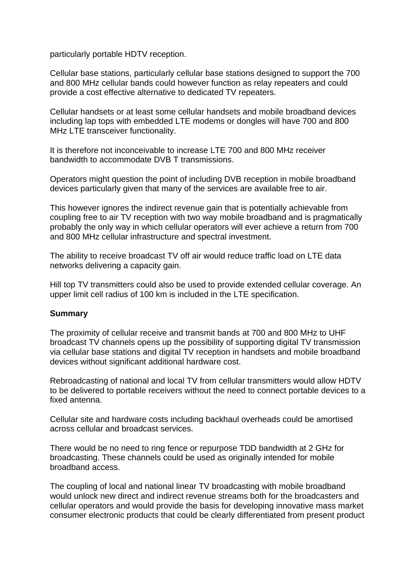particularly portable HDTV reception.

Cellular base stations, particularly cellular base stations designed to support the 700 and 800 MHz cellular bands could however function as relay repeaters and could provide a cost effective alternative to dedicated TV repeaters.

Cellular handsets or at least some cellular handsets and mobile broadband devices including lap tops with embedded LTE modems or dongles will have 700 and 800 MHz LTE transceiver functionality.

It is therefore not inconceivable to increase LTE 700 and 800 MHz receiver bandwidth to accommodate DVB T transmissions.

Operators might question the point of including DVB reception in mobile broadband devices particularly given that many of the services are available free to air.

This however ignores the indirect revenue gain that is potentially achievable from coupling free to air TV reception with two way mobile broadband and is pragmatically probably the only way in which cellular operators will ever achieve a return from 700 and 800 MHz cellular infrastructure and spectral investment.

The ability to receive broadcast TV off air would reduce traffic load on LTE data networks delivering a capacity gain.

Hill top TV transmitters could also be used to provide extended cellular coverage. An upper limit cell radius of 100 km is included in the LTE specification.

# **Summary**

The proximity of cellular receive and transmit bands at 700 and 800 MHz to UHF broadcast TV channels opens up the possibility of supporting digital TV transmission via cellular base stations and digital TV reception in handsets and mobile broadband devices without significant additional hardware cost.

Rebroadcasting of national and local TV from cellular transmitters would allow HDTV to be delivered to portable receivers without the need to connect portable devices to a fixed antenna.

Cellular site and hardware costs including backhaul overheads could be amortised across cellular and broadcast services.

There would be no need to ring fence or repurpose TDD bandwidth at 2 GHz for broadcasting. These channels could be used as originally intended for mobile broadband access.

The coupling of local and national linear TV broadcasting with mobile broadband would unlock new direct and indirect revenue streams both for the broadcasters and cellular operators and would provide the basis for developing innovative mass market consumer electronic products that could be clearly differentiated from present product